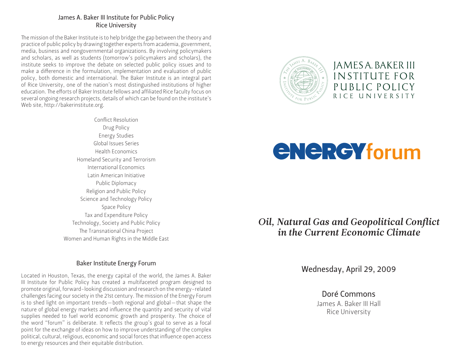# James A. Baker III Institute for Public Policy Rice University

The mission of the Baker Institute is to help bridge the gap between the theory and practice of public policy by drawing together experts from academia, government, media, business and nongovernmental organizations. By involving policymakers and scholars, as well as students (tomorrow's policymakers and scholars), the institute seeks to improve the debate on selected public policy issues and to make a difference in the formulation, implementation and evaluation of public policy, both domestic and international. The Baker Institute is an integral part of Rice University, one of the nation's most distinguished institutions of higher education. The efforts of Baker Institute fellows and affiliated Rice faculty focus on several ongoing research projects, details of which can be found on the institute's Web site, http://bakerinstitute.org.

> Conflict Resolution Drug Policy Energy Studies Global Issues Series Health Economics Homeland Security and Terrorism International Economics Latin American Initiative Public Diplomacy Religion and Public Policy Science and Technology Policy Space Policy Tax and Expenditure Policy Technology, Society and Public Policy The Transnational China Project Women and Human Rights in the Middle East

# Baker Institute Energy Forum

Located in Houston, Texas, the energy capital of the world, the James A. Baker III Institute for Public Policy has created a multifaceted program designed to promote original, forward-looking discussion and research on the energy-related challenges facing our society in the 21st century. The mission of the Energy Forum is to shed light on important trends—both regional and global—that shape the nature of global energy markets and influence the quantity and security of vital supplies needed to fuel world economic growth and prosperity. The choice of the word "forum" is deliberate. It reflects the group's goal to serve as a focal point for the exchange of ideas on how to improve understanding of the complex political, cultural, religious, economic and social forces that influence open access to energy resources and their equitable distribution.



JAMES A. BAKER III **INSTITUTE FOR** PUBLIC POLICY RICE UNIVERSITY

# ENERGYforum

*Oil, Natural Gas and Geopolitical Conflict in the Current Economic Climate*

Wednesday, April 29, 2009

Doré Commons James A. Baker III Hall Rice University